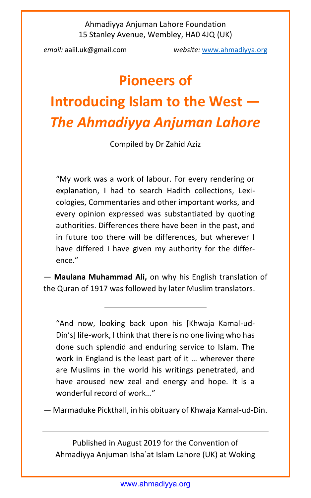*email:* aaiil.uk@gmail.com *website:* [www.ahmadiyya.org](http://www.ahmadiyya.org/movement/conv-aug-2019.htm)

## **Pioneers of**

# **Introducing Islam to the West —** *The Ahmadiyya Anjuman Lahore*

Compiled by Dr Zahid Aziz

"My work was a work of labour. For every rendering or explanation, I had to search Hadith collections, Lexicologies, Commentaries and other important works, and every opinion expressed was substantiated by quoting authorities. Differences there have been in the past, and in future too there will be differences, but wherever I have differed I have given my authority for the difference."

— **Maulana Muhammad Ali,** on why his English translation of the Quran of 1917 was followed by later Muslim translators.

"And now, looking back upon his [Khwaja Kamal-ud-Din's] life-work, I think that there is no one living who has done such splendid and enduring service to Islam. The work in England is the least part of it … wherever there are Muslims in the world his writings penetrated, and have aroused new zeal and energy and hope. It is a wonderful record of work…"

— Marmaduke Pickthall, in his obituary of Khwaja Kamal-ud-Din.

Published in August 2019 for the Convention of Ahmadiyya Anjuman Isha`at Islam Lahore (UK) at Woking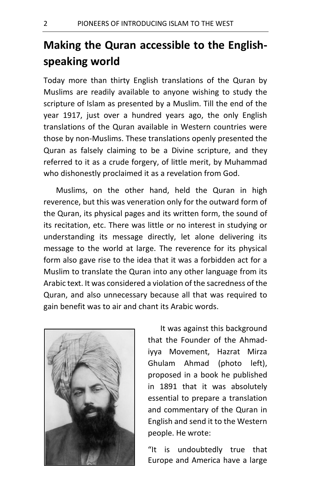## **Making the Quran accessible to the Englishspeaking world**

Today more than thirty English translations of the Quran by Muslims are readily available to anyone wishing to study the scripture of Islam as presented by a Muslim. Till the end of the year 1917, just over a hundred years ago, the only English translations of the Quran available in Western countries were those by non-Muslims. These translations openly presented the Quran as falsely claiming to be a Divine scripture, and they referred to it as a crude forgery, of little merit, by Muhammad who dishonestly proclaimed it as a revelation from God.

Muslims, on the other hand, held the Quran in high reverence, but this was veneration only for the outward form of the Quran, its physical pages and its written form, the sound of its recitation, etc. There was little or no interest in studying or understanding its message directly, let alone delivering its message to the world at large. The reverence for its physical form also gave rise to the idea that it was a forbidden act for a Muslim to translate the Quran into any other language from its Arabic text. It was considered a violation of the sacredness of the Quran, and also unnecessary because all that was required to gain benefit was to air and chant its Arabic words.



It was against this background that the Founder of the Ahmadiyya Movement, Hazrat Mirza Ghulam Ahmad (photo left), proposed in a book he published in 1891 that it was absolutely essential to prepare a translation and commentary of the Quran in English and send it to the Western people. He wrote:

"It is undoubtedly true that Europe and America have a large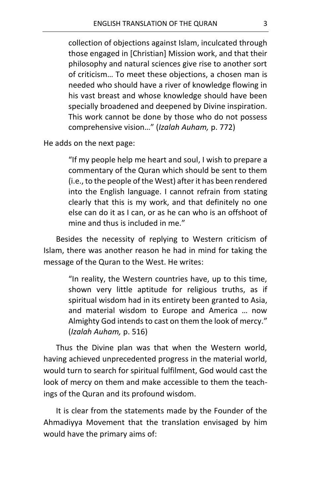collection of objections against Islam, inculcated through those engaged in [Christian] Mission work, and that their philosophy and natural sciences give rise to another sort of criticism… To meet these objections, a chosen man is needed who should have a river of knowledge flowing in his vast breast and whose knowledge should have been specially broadened and deepened by Divine inspiration. This work cannot be done by those who do not possess comprehensive vision…" (*Izalah Auham,* p. 772)

He adds on the next page:

"If my people help me heart and soul, I wish to prepare a commentary of the Quran which should be sent to them (i.e., to the people of the West) after it has been rendered into the English language. I cannot refrain from stating clearly that this is my work, and that definitely no one else can do it as I can, or as he can who is an offshoot of mine and thus is included in me."

Besides the necessity of replying to Western criticism of Islam, there was another reason he had in mind for taking the message of the Quran to the West. He writes:

> "In reality, the Western countries have, up to this time, shown very little aptitude for religious truths, as if spiritual wisdom had in its entirety been granted to Asia, and material wisdom to Europe and America … now Almighty God intends to cast on them the look of mercy." (*Izalah Auham,* p. 516)

Thus the Divine plan was that when the Western world, having achieved unprecedented progress in the material world, would turn to search for spiritual fulfilment, God would cast the look of mercy on them and make accessible to them the teachings of the Quran and its profound wisdom.

It is clear from the statements made by the Founder of the Ahmadiyya Movement that the translation envisaged by him would have the primary aims of: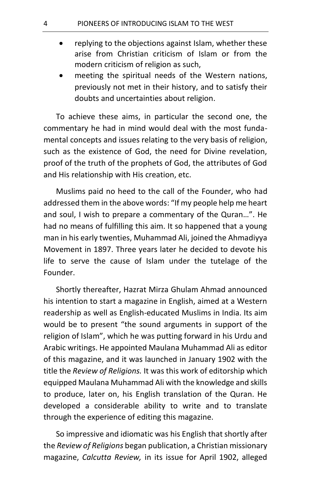- replying to the objections against Islam, whether these arise from Christian criticism of Islam or from the modern criticism of religion as such,
- meeting the spiritual needs of the Western nations, previously not met in their history, and to satisfy their doubts and uncertainties about religion.

To achieve these aims, in particular the second one, the commentary he had in mind would deal with the most fundamental concepts and issues relating to the very basis of religion, such as the existence of God, the need for Divine revelation, proof of the truth of the prophets of God, the attributes of God and His relationship with His creation, etc.

Muslims paid no heed to the call of the Founder, who had addressed them in the above words: "If my people help me heart and soul, I wish to prepare a commentary of the Quran…". He had no means of fulfilling this aim. It so happened that a young man in his early twenties, Muhammad Ali, joined the Ahmadiyya Movement in 1897. Three years later he decided to devote his life to serve the cause of Islam under the tutelage of the Founder.

Shortly thereafter, Hazrat Mirza Ghulam Ahmad announced his intention to start a magazine in English, aimed at a Western readership as well as English-educated Muslims in India. Its aim would be to present "the sound arguments in support of the religion of Islam", which he was putting forward in his Urdu and Arabic writings. He appointed Maulana Muhammad Ali as editor of this magazine, and it was launched in January 1902 with the title the *Review of Religions.* It was this work of editorship which equipped Maulana Muhammad Ali with the knowledge and skills to produce, later on, his English translation of the Quran. He developed a considerable ability to write and to translate through the experience of editing this magazine.

So impressive and idiomatic was his English that shortly after the *Review of Religions* began publication, a Christian missionary magazine, *Calcutta Review,* in its issue for April 1902, alleged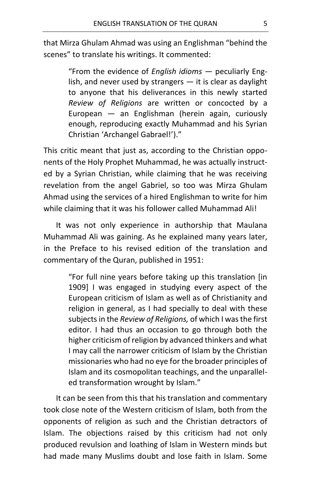that Mirza Ghulam Ahmad was using an Englishman "behind the scenes" to translate his writings. It commented:

> "From the evidence of *English idioms* — peculiarly English, and never used by strangers  $-$  it is clear as daylight to anyone that his deliverances in this newly started *Review of Religions* are written or concocted by a European — an Englishman (herein again, curiously enough, reproducing exactly Muhammad and his Syrian Christian 'Archangel Gabrael!')."

This critic meant that just as, according to the Christian opponents of the Holy Prophet Muhammad, he was actually instructed by a Syrian Christian, while claiming that he was receiving revelation from the angel Gabriel, so too was Mirza Ghulam Ahmad using the services of a hired Englishman to write for him while claiming that it was his follower called Muhammad Ali!

It was not only experience in authorship that Maulana Muhammad Ali was gaining. As he explained many years later, in the Preface to his revised edition of the translation and commentary of the Quran, published in 1951:

> "For full nine years before taking up this translation [in 1909] I was engaged in studying every aspect of the European criticism of Islam as well as of Christianity and religion in general, as I had specially to deal with these subjects in the *Review of Religions,* of which I was the first editor. I had thus an occasion to go through both the higher criticism of religion by advanced thinkers and what I may call the narrower criticism of Islam by the Christian missionaries who had no eye for the broader principles of Islam and its cosmopolitan teachings, and the unparalleled transformation wrought by Islam."

It can be seen from this that his translation and commentary took close note of the Western criticism of Islam, both from the opponents of religion as such and the Christian detractors of Islam. The objections raised by this criticism had not only produced revulsion and loathing of Islam in Western minds but had made many Muslims doubt and lose faith in Islam. Some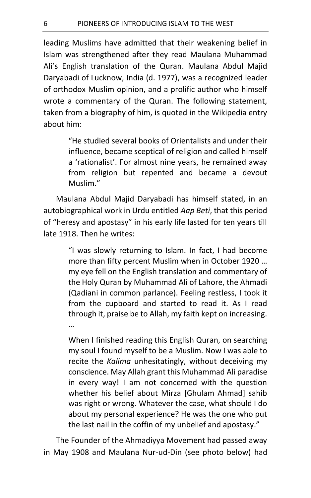leading Muslims have admitted that their weakening belief in Islam was strengthened after they read Maulana Muhammad Ali's English translation of the Quran. Maulana Abdul Majid Daryabadi of Lucknow, India (d. 1977), was a recognized leader of orthodox Muslim opinion, and a prolific author who himself wrote a commentary of the Quran. The following statement, taken from a biography of him, is quoted in the Wikipedia entry about him:

> "He studied several books of Orientalists and under their influence, became sceptical of religion and called himself a 'rationalist'. For almost nine years, he remained away from religion but repented and became a devout Muslim."

Maulana Abdul Majid Daryabadi has himself stated, in an autobiographical work in Urdu entitled *Aap Beti*, that this period of "heresy and apostasy" in his early life lasted for ten years till late 1918. Then he writes:

> "I was slowly returning to Islam. In fact, I had become more than fifty percent Muslim when in October 1920 … my eye fell on the English translation and commentary of the Holy Quran by Muhammad Ali of Lahore, the Ahmadi (Qadiani in common parlance). Feeling restless, I took it from the cupboard and started to read it. As I read through it, praise be to Allah, my faith kept on increasing. …

> When I finished reading this English Quran, on searching my soul I found myself to be a Muslim. Now I was able to recite the *Kalima* unhesitatingly, without deceiving my conscience. May Allah grant this Muhammad Ali paradise in every way! I am not concerned with the question whether his belief about Mirza [Ghulam Ahmad] sahib was right or wrong. Whatever the case, what should I do about my personal experience? He was the one who put the last nail in the coffin of my unbelief and apostasy."

The Founder of the Ahmadiyya Movement had passed away in May 1908 and Maulana Nur-ud-Din (see photo below) had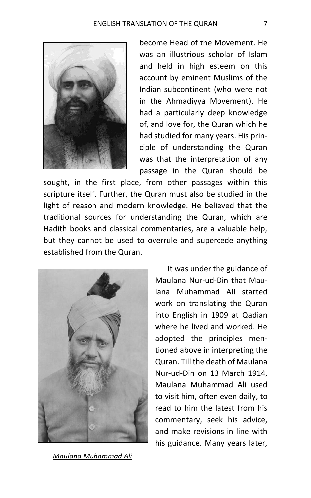

become Head of the Movement. He was an illustrious scholar of Islam and held in high esteem on this account by eminent Muslims of the Indian subcontinent (who were not in the Ahmadiyya Movement). He had a particularly deep knowledge of, and love for, the Quran which he had studied for many years. His principle of understanding the Quran was that the interpretation of any passage in the Quran should be

sought, in the first place, from other passages within this scripture itself. Further, the Quran must also be studied in the light of reason and modern knowledge. He believed that the traditional sources for understanding the Quran, which are Hadith books and classical commentaries, are a valuable help, but they cannot be used to overrule and supercede anything established from the Quran.



*Maulana Muhammad Ali*

It was under the guidance of Maulana Nur-ud-Din that Maulana Muhammad Ali started work on translating the Quran into English in 1909 at Qadian where he lived and worked. He adopted the principles mentioned above in interpreting the Quran. Till the death of Maulana Nur-ud-Din on 13 March 1914, Maulana Muhammad Ali used to visit him, often even daily, to read to him the latest from his commentary, seek his advice, and make revisions in line with his guidance. Many years later,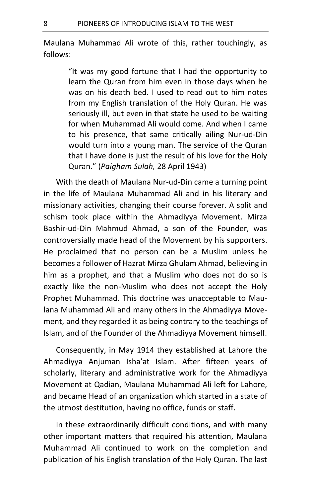Maulana Muhammad Ali wrote of this, rather touchingly, as follows:

> "It was my good fortune that I had the opportunity to learn the Quran from him even in those days when he was on his death bed. I used to read out to him notes from my English translation of the Holy Quran. He was seriously ill, but even in that state he used to be waiting for when Muhammad Ali would come. And when I came to his presence, that same critically ailing Nur-ud-Din would turn into a young man. The service of the Quran that I have done is just the result of his love for the Holy Quran." (*Paigham Sulah,* 28 April 1943)

With the death of Maulana Nur-ud-Din came a turning point in the life of Maulana Muhammad Ali and in his literary and missionary activities, changing their course forever. A split and schism took place within the Ahmadiyya Movement. Mirza Bashir-ud-Din Mahmud Ahmad, a son of the Founder, was controversially made head of the Movement by his supporters. He proclaimed that no person can be a Muslim unless he becomes a follower of Hazrat Mirza Ghulam Ahmad, believing in him as a prophet, and that a Muslim who does not do so is exactly like the non-Muslim who does not accept the Holy Prophet Muhammad. This doctrine was unacceptable to Maulana Muhammad Ali and many others in the Ahmadiyya Movement, and they regarded it as being contrary to the teachings of Islam, and of the Founder of the Ahmadiyya Movement himself.

Consequently, in May 1914 they established at Lahore the Ahmadiyya Anjuman Isha'at Islam. After fifteen years of scholarly, literary and administrative work for the Ahmadiyya Movement at Qadian, Maulana Muhammad Ali left for Lahore, and became Head of an organization which started in a state of the utmost destitution, having no office, funds or staff.

In these extraordinarily difficult conditions, and with many other important matters that required his attention, Maulana Muhammad Ali continued to work on the completion and publication of his English translation of the Holy Quran. The last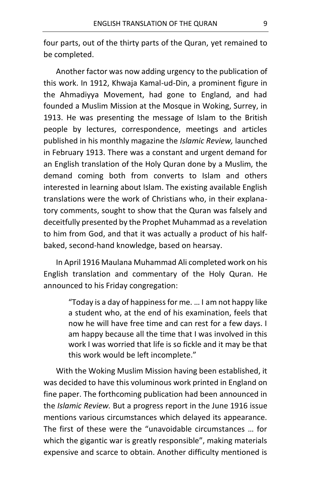four parts, out of the thirty parts of the Quran, yet remained to be completed.

Another factor was now adding urgency to the publication of this work. In 1912, Khwaja Kamal-ud-Din, a prominent figure in the Ahmadiyya Movement, had gone to England, and had founded a Muslim Mission at the Mosque in Woking, Surrey, in 1913. He was presenting the message of Islam to the British people by lectures, correspondence, meetings and articles published in his monthly magazine the *Islamic Review,* launched in February 1913. There was a constant and urgent demand for an English translation of the Holy Quran done by a Muslim, the demand coming both from converts to Islam and others interested in learning about Islam. The existing available English translations were the work of Christians who, in their explanatory comments, sought to show that the Quran was falsely and deceitfully presented by the Prophet Muhammad as a revelation to him from God, and that it was actually a product of his halfbaked, second-hand knowledge, based on hearsay.

In April 1916 Maulana Muhammad Ali completed work on his English translation and commentary of the Holy Quran. He announced to his Friday congregation:

> "Today is a day of happiness for me. … I am not happy like a student who, at the end of his examination, feels that now he will have free time and can rest for a few days. I am happy because all the time that I was involved in this work I was worried that life is so fickle and it may be that this work would be left incomplete."

With the Woking Muslim Mission having been established, it was decided to have this voluminous work printed in England on fine paper. The forthcoming publication had been announced in the *Islamic Review.* But a progress report in the June 1916 issue mentions various circumstances which delayed its appearance. The first of these were the "unavoidable circumstances … for which the gigantic war is greatly responsible", making materials expensive and scarce to obtain. Another difficulty mentioned is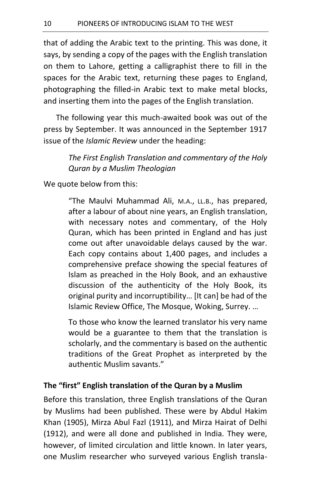that of adding the Arabic text to the printing. This was done, it says, by sending a copy of the pages with the English translation on them to Lahore, getting a calligraphist there to fill in the spaces for the Arabic text, returning these pages to England, photographing the filled-in Arabic text to make metal blocks, and inserting them into the pages of the English translation.

The following year this much-awaited book was out of the press by September. It was announced in the September 1917 issue of the *Islamic Review* under the heading:

> *The First English Translation and commentary of the Holy Quran by a Muslim Theologian*

We quote below from this:

"The Maulvi Muhammad Ali, M.A., LL.B., has prepared, after a labour of about nine years, an English translation, with necessary notes and commentary, of the Holy Quran, which has been printed in England and has just come out after unavoidable delays caused by the war. Each copy contains about 1,400 pages, and includes a comprehensive preface showing the special features of Islam as preached in the Holy Book, and an exhaustive discussion of the authenticity of the Holy Book, its original purity and incorruptibility… [It can] be had of the Islamic Review Office, The Mosque, Woking, Surrey. …

To those who know the learned translator his very name would be a guarantee to them that the translation is scholarly, and the commentary is based on the authentic traditions of the Great Prophet as interpreted by the authentic Muslim savants."

#### **The "first" English translation of the Quran by a Muslim**

Before this translation, three English translations of the Quran by Muslims had been published. These were by Abdul Hakim Khan (1905), Mirza Abul Fazl (1911), and Mirza Hairat of Delhi (1912), and were all done and published in India. They were, however, of limited circulation and little known. In later years, one Muslim researcher who surveyed various English transla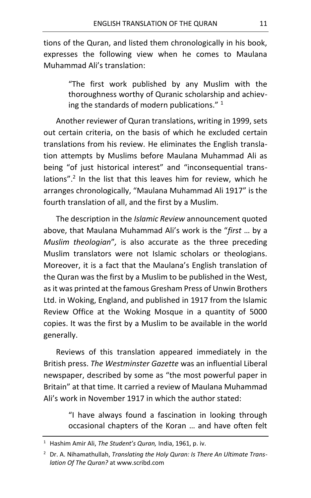tions of the Quran, and listed them chronologically in his book, expresses the following view when he comes to Maulana Muhammad Ali's translation:

> "The first work published by any Muslim with the thoroughness worthy of Quranic scholarship and achieving the standards of modern publications."  $1$

Another reviewer of Quran translations, writing in 1999, sets out certain criteria, on the basis of which he excluded certain translations from his review. He eliminates the English translation attempts by Muslims before Maulana Muhammad Ali as being "of just historical interest" and "inconsequential translations".<sup>2</sup> In the list that this leaves him for review, which he arranges chronologically, "Maulana Muhammad Ali 1917" is the fourth translation of all, and the first by a Muslim.

The description in the *Islamic Review* announcement quoted above, that Maulana Muhammad Ali's work is the "*first* … by a *Muslim theologian*"*,* is also accurate as the three preceding Muslim translators were not Islamic scholars or theologians. Moreover, it is a fact that the Maulana's English translation of the Quran was the first by a Muslim to be published in the West, as it was printed at the famous Gresham Press of Unwin Brothers Ltd. in Woking, England, and published in 1917 from the Islamic Review Office at the Woking Mosque in a quantity of 5000 copies. It was the first by a Muslim to be available in the world generally.

Reviews of this translation appeared immediately in the British press. *The Westminster Gazette* was an influential Liberal newspaper, described by some as "the most powerful paper in Britain" at that time. It carried a review of Maulana Muhammad Ali's work in November 1917 in which the author stated:

> "I have always found a fascination in looking through occasional chapters of the Koran … and have often felt

<sup>1</sup> Hashim Amir Ali, *The Student's Quran,* India, 1961, p. iv.

<sup>2</sup> Dr. A. Nihamathullah, *Translating the Holy Quran: Is There An Ultimate Translation Of The Quran?* at www.scribd.com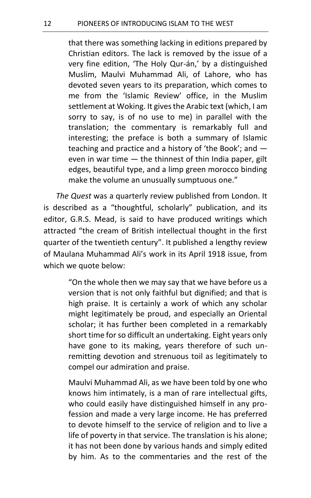that there was something lacking in editions prepared by Christian editors. The lack is removed by the issue of a very fine edition, 'The Holy Qur-án,' by a distinguished Muslim, Maulvi Muhammad Ali, of Lahore, who has devoted seven years to its preparation, which comes to me from the 'Islamic Review' office, in the Muslim settlement at Woking. It gives the Arabic text (which, I am sorry to say, is of no use to me) in parallel with the translation; the commentary is remarkably full and interesting; the preface is both a summary of Islamic teaching and practice and a history of 'the Book'; and even in war time — the thinnest of thin India paper, gilt edges, beautiful type, and a limp green morocco binding make the volume an unusually sumptuous one."

*The Quest* was a quarterly review published from London. It is described as a "thoughtful, scholarly" publication, and its editor, G.R.S. Mead, is said to have produced writings which attracted "the cream of British intellectual thought in the first quarter of the twentieth century". It published a lengthy review of Maulana Muhammad Ali's work in its April 1918 issue, from which we quote below:

> "On the whole then we may say that we have before us a version that is not only faithful but dignified; and that is high praise. It is certainly a work of which any scholar might legitimately be proud, and especially an Oriental scholar; it has further been completed in a remarkably short time for so difficult an undertaking. Eight years only have gone to its making, years therefore of such unremitting devotion and strenuous toil as legitimately to compel our admiration and praise.

> Maulvi Muhammad Ali, as we have been told by one who knows him intimately, is a man of rare intellectual gifts, who could easily have distinguished himself in any profession and made a very large income. He has preferred to devote himself to the service of religion and to live a life of poverty in that service. The translation is his alone; it has not been done by various hands and simply edited by him. As to the commentaries and the rest of the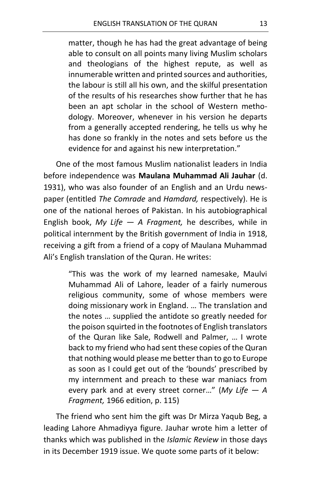matter, though he has had the great advantage of being able to consult on all points many living Muslim scholars and theologians of the highest repute, as well as innumerable written and printed sources and authorities, the labour is still all his own, and the skilful presentation of the results of his researches show further that he has been an apt scholar in the school of Western methodology. Moreover, whenever in his version he departs from a generally accepted rendering, he tells us why he has done so frankly in the notes and sets before us the evidence for and against his new interpretation."

One of the most famous Muslim nationalist leaders in India before independence was **Maulana Muhammad Ali Jauhar** (d. 1931), who was also founder of an English and an Urdu newspaper (entitled *The Comrade* and *Hamdard,* respectively). He is one of the national heroes of Pakistan. In his autobiographical English book, *My Life — A Fragment,* he describes, while in political internment by the British government of India in 1918, receiving a gift from a friend of a copy of Maulana Muhammad Ali's English translation of the Quran. He writes:

> "This was the work of my learned namesake, Maulvi Muhammad Ali of Lahore, leader of a fairly numerous religious community, some of whose members were doing missionary work in England. … The translation and the notes … supplied the antidote so greatly needed for the poison squirted in the footnotes of English translators of the Quran like Sale, Rodwell and Palmer, … I wrote back to my friend who had sent these copies of the Quran that nothing would please me better than to go to Europe as soon as I could get out of the 'bounds' prescribed by my internment and preach to these war maniacs from every park and at every street corner…" (*My Life — A Fragment,* 1966 edition, p. 115)

The friend who sent him the gift was Dr Mirza Yaqub Beg, a leading Lahore Ahmadiyya figure. Jauhar wrote him a letter of thanks which was published in the *Islamic Review* in those days in its December 1919 issue. We quote some parts of it below: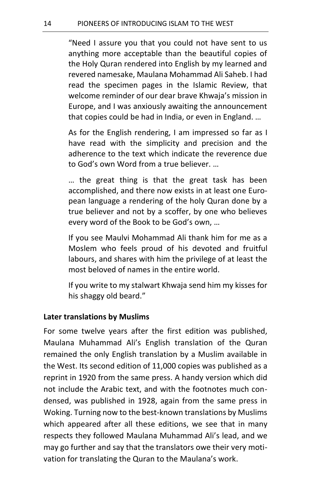"Need I assure you that you could not have sent to us anything more acceptable than the beautiful copies of the Holy Quran rendered into English by my learned and revered namesake, Maulana Mohammad Ali Saheb. I had read the specimen pages in the Islamic Review, that welcome reminder of our dear brave Khwaja's mission in Europe, and I was anxiously awaiting the announcement that copies could be had in India, or even in England. …

As for the English rendering, I am impressed so far as I have read with the simplicity and precision and the adherence to the text which indicate the reverence due to God's own Word from a true believer. …

… the great thing is that the great task has been accomplished, and there now exists in at least one European language a rendering of the holy Quran done by a true believer and not by a scoffer, by one who believes every word of the Book to be God's own, …

If you see Maulvi Mohammad Ali thank him for me as a Moslem who feels proud of his devoted and fruitful labours, and shares with him the privilege of at least the most beloved of names in the entire world.

If you write to my stalwart Khwaja send him my kisses for his shaggy old beard."

#### **Later translations by Muslims**

For some twelve years after the first edition was published, Maulana Muhammad Ali's English translation of the Quran remained the only English translation by a Muslim available in the West. Its second edition of 11,000 copies was published as a reprint in 1920 from the same press. A handy version which did not include the Arabic text, and with the footnotes much condensed, was published in 1928, again from the same press in Woking. Turning now to the best-known translations by Muslims which appeared after all these editions, we see that in many respects they followed Maulana Muhammad Ali's lead, and we may go further and say that the translators owe their very motivation for translating the Quran to the Maulana's work.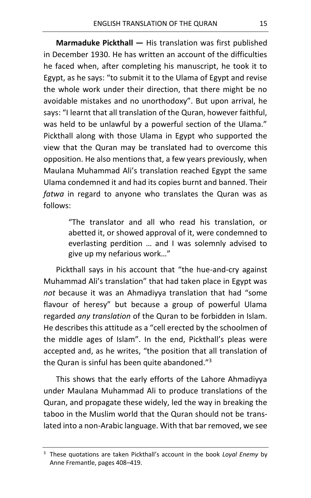**Marmaduke Pickthall —** His translation was first published in December 1930. He has written an account of the difficulties he faced when, after completing his manuscript, he took it to Egypt, as he says: "to submit it to the Ulama of Egypt and revise the whole work under their direction, that there might be no avoidable mistakes and no unorthodoxy". But upon arrival, he says: "I learnt that all translation of the Quran, however faithful, was held to be unlawful by a powerful section of the Ulama." Pickthall along with those Ulama in Egypt who supported the view that the Quran may be translated had to overcome this opposition. He also mentions that, a few years previously, when Maulana Muhammad Ali's translation reached Egypt the same Ulama condemned it and had its copies burnt and banned. Their *fatwa* in regard to anyone who translates the Quran was as follows:

> "The translator and all who read his translation, or abetted it, or showed approval of it, were condemned to everlasting perdition … and I was solemnly advised to give up my nefarious work…"

Pickthall says in his account that "the hue-and-cry against Muhammad Ali's translation" that had taken place in Egypt was *not* because it was an Ahmadiyya translation that had "some flavour of heresy" but because a group of powerful Ulama regarded *any translation* of the Quran to be forbidden in Islam. He describes this attitude as a "cell erected by the schoolmen of the middle ages of Islam". In the end, Pickthall's pleas were accepted and, as he writes, "the position that all translation of the Quran is sinful has been quite abandoned."<sup>3</sup>

This shows that the early efforts of the Lahore Ahmadiyya under Maulana Muhammad Ali to produce translations of the Quran, and propagate these widely, led the way in breaking the taboo in the Muslim world that the Quran should not be translated into a non-Arabic language. With that bar removed, we see

<sup>3</sup> These quotations are taken Pickthall's account in the book *Loyal Enemy* by Anne Fremantle, pages 408–419.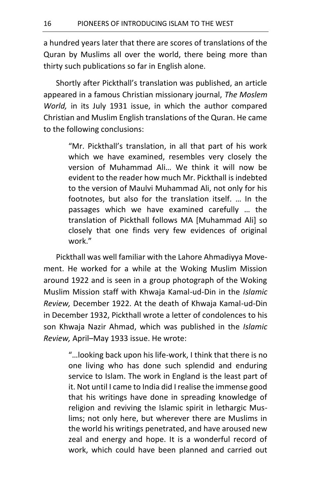a hundred years later that there are scores of translations of the Quran by Muslims all over the world, there being more than thirty such publications so far in English alone.

Shortly after Pickthall's translation was published, an article appeared in a famous Christian missionary journal, *The Moslem World,* in its July 1931 issue, in which the author compared Christian and Muslim English translations of the Quran. He came to the following conclusions:

> "Mr. Pickthall's translation, in all that part of his work which we have examined, resembles very closely the version of Muhammad Ali… We think it will now be evident to the reader how much Mr. Pickthall is indebted to the version of Maulvi Muhammad Ali, not only for his footnotes, but also for the translation itself. … In the passages which we have examined carefully … the translation of Pickthall follows MA [Muhammad Ali] so closely that one finds very few evidences of original work."

Pickthall was well familiar with the Lahore Ahmadiyya Movement. He worked for a while at the Woking Muslim Mission around 1922 and is seen in a group photograph of the Woking Muslim Mission staff with Khwaja Kamal-ud-Din in the *Islamic Review,* December 1922. At the death of Khwaja Kamal-ud-Din in December 1932, Pickthall wrote a letter of condolences to his son Khwaja Nazir Ahmad, which was published in the *Islamic Review,* April–May 1933 issue. He wrote:

> "…looking back upon his life-work, I think that there is no one living who has done such splendid and enduring service to Islam. The work in England is the least part of it. Not until I came to India did I realise the immense good that his writings have done in spreading knowledge of religion and reviving the Islamic spirit in lethargic Muslims; not only here, but wherever there are Muslims in the world his writings penetrated, and have aroused new zeal and energy and hope. It is a wonderful record of work, which could have been planned and carried out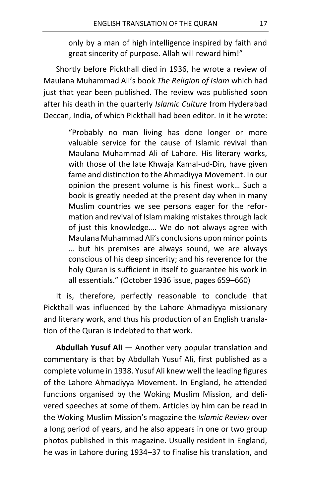only by a man of high intelligence inspired by faith and great sincerity of purpose. Allah will reward him!"

Shortly before Pickthall died in 1936, he wrote a review of Maulana Muhammad Ali's book *The Religion of Islam* which had just that year been published. The review was published soon after his death in the quarterly *Islamic Culture* from Hyderabad Deccan, India, of which Pickthall had been editor. In it he wrote:

> "Probably no man living has done longer or more valuable service for the cause of Islamic revival than Maulana Muhammad Ali of Lahore. His literary works, with those of the late Khwaja Kamal-ud-Din, have given fame and distinction to the Ahmadiyya Movement. In our opinion the present volume is his finest work… Such a book is greatly needed at the present day when in many Muslim countries we see persons eager for the reformation and revival of Islam making mistakes through lack of just this knowledge.… We do not always agree with Maulana Muhammad Ali's conclusions upon minor points … but his premises are always sound, we are always conscious of his deep sincerity; and his reverence for the holy Quran is sufficient in itself to guarantee his work in all essentials." (October 1936 issue, pages 659–660)

It is, therefore, perfectly reasonable to conclude that Pickthall was influenced by the Lahore Ahmadiyya missionary and literary work, and thus his production of an English translation of the Quran is indebted to that work.

**Abdullah Yusuf Ali —** Another very popular translation and commentary is that by Abdullah Yusuf Ali, first published as a complete volume in 1938. Yusuf Ali knew well the leading figures of the Lahore Ahmadiyya Movement. In England, he attended functions organised by the Woking Muslim Mission, and delivered speeches at some of them. Articles by him can be read in the Woking Muslim Mission's magazine the *Islamic Review* over a long period of years, and he also appears in one or two group photos published in this magazine. Usually resident in England, he was in Lahore during 1934–37 to finalise his translation, and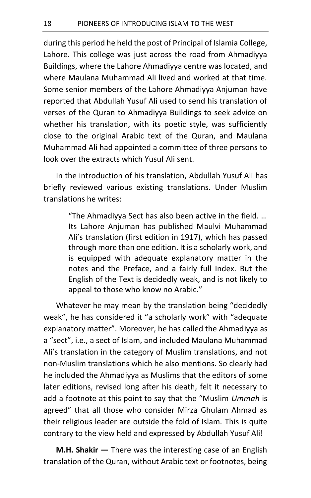during this period he held the post of Principal of Islamia College, Lahore. This college was just across the road from Ahmadiyya Buildings, where the Lahore Ahmadiyya centre was located, and where Maulana Muhammad Ali lived and worked at that time. Some senior members of the Lahore Ahmadiyya Anjuman have reported that Abdullah Yusuf Ali used to send his translation of verses of the Quran to Ahmadiyya Buildings to seek advice on whether his translation, with its poetic style, was sufficiently close to the original Arabic text of the Quran, and Maulana Muhammad Ali had appointed a committee of three persons to look over the extracts which Yusuf Ali sent.

In the introduction of his translation, Abdullah Yusuf Ali has briefly reviewed various existing translations. Under Muslim translations he writes:

> "The Ahmadiyya Sect has also been active in the field. … Its Lahore Anjuman has published Maulvi Muhammad Ali's translation (first edition in 1917), which has passed through more than one edition. It is a scholarly work, and is equipped with adequate explanatory matter in the notes and the Preface, and a fairly full Index. But the English of the Text is decidedly weak, and is not likely to appeal to those who know no Arabic."

Whatever he may mean by the translation being "decidedly weak", he has considered it "a scholarly work" with "adequate explanatory matter". Moreover, he has called the Ahmadiyya as a "sect", i.e., a sect of Islam, and included Maulana Muhammad Ali's translation in the category of Muslim translations, and not non-Muslim translations which he also mentions. So clearly had he included the Ahmadiyya as Muslims that the editors of some later editions, revised long after his death, felt it necessary to add a footnote at this point to say that the "Muslim *Ummah* is agreed" that all those who consider Mirza Ghulam Ahmad as their religious leader are outside the fold of Islam. This is quite contrary to the view held and expressed by Abdullah Yusuf Ali!

**M.H. Shakir —** There was the interesting case of an English translation of the Quran, without Arabic text or footnotes, being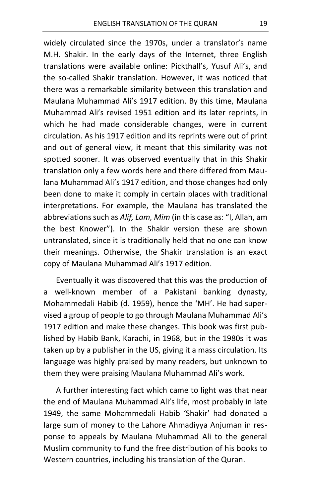widely circulated since the 1970s, under a translator's name M.H. Shakir. In the early days of the Internet, three English translations were available online: Pickthall's, Yusuf Ali's, and the so-called Shakir translation. However, it was noticed that there was a remarkable similarity between this translation and Maulana Muhammad Ali's 1917 edition. By this time, Maulana Muhammad Ali's revised 1951 edition and its later reprints, in which he had made considerable changes, were in current circulation. As his 1917 edition and its reprints were out of print and out of general view, it meant that this similarity was not spotted sooner. It was observed eventually that in this Shakir translation only a few words here and there differed from Maulana Muhammad Ali's 1917 edition, and those changes had only been done to make it comply in certain places with traditional interpretations. For example, the Maulana has translated the abbreviations such as *Alif, Lam, Mim* (in this case as: "I, Allah, am the best Knower"). In the Shakir version these are shown untranslated, since it is traditionally held that no one can know their meanings. Otherwise, the Shakir translation is an exact copy of Maulana Muhammad Ali's 1917 edition.

Eventually it was discovered that this was the production of a well-known member of a Pakistani banking dynasty, Mohammedali Habib (d. 1959), hence the 'MH'. He had supervised a group of people to go through Maulana Muhammad Ali's 1917 edition and make these changes. This book was first published by Habib Bank, Karachi, in 1968, but in the 1980s it was taken up by a publisher in the US, giving it a mass circulation. Its language was highly praised by many readers, but unknown to them they were praising Maulana Muhammad Ali's work.

A further interesting fact which came to light was that near the end of Maulana Muhammad Ali's life, most probably in late 1949, the same Mohammedali Habib 'Shakir' had donated a large sum of money to the Lahore Ahmadiyya Anjuman in response to appeals by Maulana Muhammad Ali to the general Muslim community to fund the free distribution of his books to Western countries, including his translation of the Quran.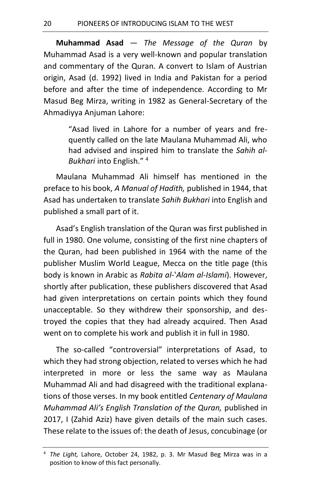**Muhammad Asad** — *The Message of the Quran* by Muhammad Asad is a very well-known and popular translation and commentary of the Quran. A convert to Islam of Austrian origin, Asad (d. 1992) lived in India and Pakistan for a period before and after the time of independence. According to Mr Masud Beg Mirza, writing in 1982 as General-Secretary of the Ahmadiyya Anjuman Lahore:

> "Asad lived in Lahore for a number of years and frequently called on the late Maulana Muhammad Ali, who had advised and inspired him to translate the *Sahih al-Bukhari* into English." <sup>4</sup>

Maulana Muhammad Ali himself has mentioned in the preface to his book, *A Manual of Hadith,* published in 1944, that Asad has undertaken to translate *Sahih Bukhari* into English and published a small part of it.

Asad's English translation of the Quran was first published in full in 1980. One volume, consisting of the first nine chapters of the Quran, had been published in 1964 with the name of the publisher Muslim World League, Mecca on the title page (this body is known in Arabic as *Rabita al-'Alam al-Islami*). However, shortly after publication, these publishers discovered that Asad had given interpretations on certain points which they found unacceptable. So they withdrew their sponsorship, and destroyed the copies that they had already acquired. Then Asad went on to complete his work and publish it in full in 1980.

The so-called "controversial" interpretations of Asad, to which they had strong objection, related to verses which he had interpreted in more or less the same way as Maulana Muhammad Ali and had disagreed with the traditional explanations of those verses. In my book entitled *Centenary of Maulana Muhammad Ali's English Translation of the Quran,* published in 2017, I (Zahid Aziz) have given details of the main such cases. These relate to the issues of: the death of Jesus, concubinage (or

<sup>4</sup> *The Light,* Lahore, October 24, 1982, p. 3. Mr Masud Beg Mirza was in a position to know of this fact personally.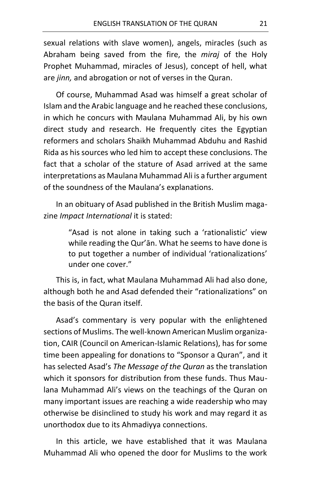sexual relations with slave women), angels, miracles (such as Abraham being saved from the fire, the *miraj* of the Holy Prophet Muhammad, miracles of Jesus), concept of hell, what are *jinn,* and abrogation or not of verses in the Quran.

Of course, Muhammad Asad was himself a great scholar of Islam and the Arabic language and he reached these conclusions, in which he concurs with Maulana Muhammad Ali, by his own direct study and research. He frequently cites the Egyptian reformers and scholars Shaikh Muhammad Abduhu and Rashid Rida as his sources who led him to accept these conclusions. The fact that a scholar of the stature of Asad arrived at the same interpretations as Maulana Muhammad Ali is a further argument of the soundness of the Maulana's explanations.

In an obituary of Asad published in the British Muslim magazine *Impact International* it is stated:

> "Asad is not alone in taking such a 'rationalistic' view while reading the Qur'ān. What he seems to have done is to put together a number of individual 'rationalizations' under one cover."

This is, in fact, what Maulana Muhammad Ali had also done, although both he and Asad defended their "rationalizations" on the basis of the Quran itself.

Asad's commentary is very popular with the enlightened sections of Muslims. The well-known American Muslim organization, CAIR (Council on American-Islamic Relations), has for some time been appealing for donations to "Sponsor a Quran", and it has selected Asad's *The Message of the Quran* as the translation which it sponsors for distribution from these funds. Thus Maulana Muhammad Ali's views on the teachings of the Quran on many important issues are reaching a wide readership who may otherwise be disinclined to study his work and may regard it as unorthodox due to its Ahmadiyya connections.

In this article, we have established that it was Maulana Muhammad Ali who opened the door for Muslims to the work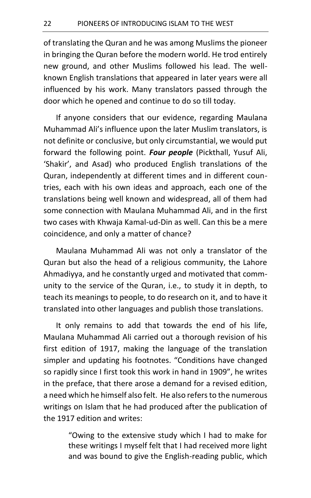of translating the Quran and he was among Muslims the pioneer in bringing the Quran before the modern world. He trod entirely new ground, and other Muslims followed his lead. The wellknown English translations that appeared in later years were all influenced by his work. Many translators passed through the door which he opened and continue to do so till today.

If anyone considers that our evidence, regarding Maulana Muhammad Ali's influence upon the later Muslim translators, is not definite or conclusive, but only circumstantial, we would put forward the following point. *Four people* (Pickthall, Yusuf Ali, 'Shakir', and Asad) who produced English translations of the Quran, independently at different times and in different countries, each with his own ideas and approach, each one of the translations being well known and widespread, all of them had some connection with Maulana Muhammad Ali, and in the first two cases with Khwaja Kamal-ud-Din as well. Can this be a mere coincidence, and only a matter of chance?

Maulana Muhammad Ali was not only a translator of the Quran but also the head of a religious community, the Lahore Ahmadiyya, and he constantly urged and motivated that community to the service of the Quran, i.e., to study it in depth, to teach its meanings to people, to do research on it, and to have it translated into other languages and publish those translations.

It only remains to add that towards the end of his life, Maulana Muhammad Ali carried out a thorough revision of his first edition of 1917, making the language of the translation simpler and updating his footnotes. "Conditions have changed so rapidly since I first took this work in hand in 1909", he writes in the preface, that there arose a demand for a revised edition, a need which he himself also felt. He also refers to the numerous writings on Islam that he had produced after the publication of the 1917 edition and writes:

> "Owing to the extensive study which I had to make for these writings I myself felt that I had received more light and was bound to give the English-reading public, which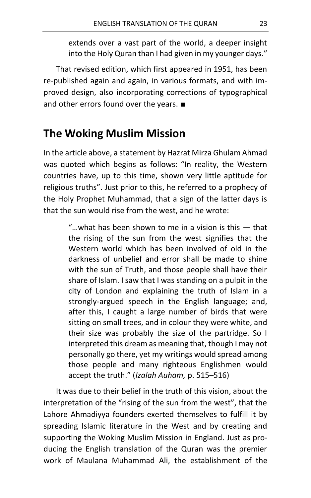extends over a vast part of the world, a deeper insight into the Holy Quran than I had given in my younger days."

That revised edition, which first appeared in 1951, has been re-published again and again, in various formats, and with improved design, also incorporating corrections of typographical and other errors found over the years. ■

### **The Woking Muslim Mission**

In the article above, a statement by Hazrat Mirza Ghulam Ahmad was quoted which begins as follows: "In reality, the Western countries have, up to this time, shown very little aptitude for religious truths". Just prior to this, he referred to a prophecy of the Holy Prophet Muhammad, that a sign of the latter days is that the sun would rise from the west, and he wrote:

> "…what has been shown to me in a vision is this — that the rising of the sun from the west signifies that the Western world which has been involved of old in the darkness of unbelief and error shall be made to shine with the sun of Truth, and those people shall have their share of Islam. I saw that I was standing on a pulpit in the city of London and explaining the truth of Islam in a strongly-argued speech in the English language; and, after this, I caught a large number of birds that were sitting on small trees, and in colour they were white, and their size was probably the size of the partridge. So I interpreted this dream as meaning that, though I may not personally go there, yet my writings would spread among those people and many righteous Englishmen would accept the truth." (*Izalah Auham,* p. 515–516)

It was due to their belief in the truth of this vision, about the interpretation of the "rising of the sun from the west", that the Lahore Ahmadiyya founders exerted themselves to fulfill it by spreading Islamic literature in the West and by creating and supporting the Woking Muslim Mission in England. Just as producing the English translation of the Quran was the premier work of Maulana Muhammad Ali, the establishment of the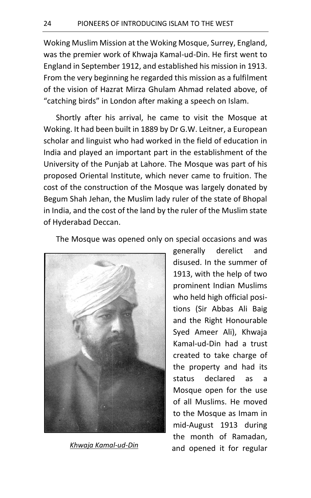Woking Muslim Mission at the Woking Mosque, Surrey, England, was the premier work of Khwaja Kamal-ud-Din. He first went to England in September 1912, and established his mission in 1913. From the very beginning he regarded this mission as a fulfilment of the vision of Hazrat Mirza Ghulam Ahmad related above, of "catching birds" in London after making a speech on Islam.

Shortly after his arrival, he came to visit the Mosque at Woking. It had been built in 1889 by Dr G.W. Leitner, a European scholar and linguist who had worked in the field of education in India and played an important part in the establishment of the University of the Punjab at Lahore. The Mosque was part of his proposed Oriental Institute, which never came to fruition. The cost of the construction of the Mosque was largely donated by Begum Shah Jehan, the Muslim lady ruler of the state of Bhopal in India, and the cost of the land by the ruler of the Muslim state of Hyderabad Deccan.

The Mosque was opened only on special occasions and was



generally derelict and disused. In the summer of 1913, with the help of two prominent Indian Muslims who held high official positions (Sir Abbas Ali Baig and the Right Honourable Syed Ameer Ali), Khwaja Kamal-ud-Din had a trust created to take charge of the property and had its status declared as a Mosque open for the use of all Muslims. He moved to the Mosque as Imam in mid-August 1913 during the month of Ramadan, and opened it for regular *Khwaja Kamal-ud-Din*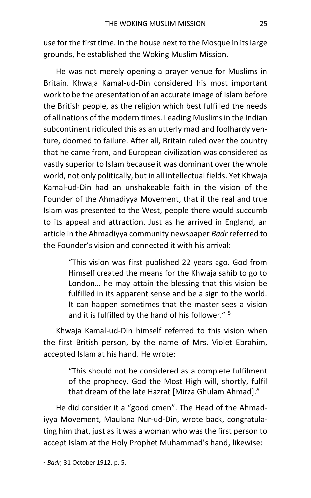use for the first time. In the house next to the Mosque in its large grounds, he established the Woking Muslim Mission.

He was not merely opening a prayer venue for Muslims in Britain. Khwaja Kamal-ud-Din considered his most important work to be the presentation of an accurate image of Islam before the British people, as the religion which best fulfilled the needs of all nations of the modern times. Leading Muslims in the Indian subcontinent ridiculed this as an utterly mad and foolhardy venture, doomed to failure. After all, Britain ruled over the country that he came from, and European civilization was considered as vastly superior to Islam because it was dominant over the whole world, not only politically, but in all intellectual fields. Yet Khwaja Kamal-ud-Din had an unshakeable faith in the vision of the Founder of the Ahmadiyya Movement, that if the real and true Islam was presented to the West, people there would succumb to its appeal and attraction. Just as he arrived in England, an article in the Ahmadiyya community newspaper *Badr* referred to the Founder's vision and connected it with his arrival:

> "This vision was first published 22 years ago. God from Himself created the means for the Khwaja sahib to go to London… he may attain the blessing that this vision be fulfilled in its apparent sense and be a sign to the world. It can happen sometimes that the master sees a vision and it is fulfilled by the hand of his follower." <sup>5</sup>

Khwaja Kamal-ud-Din himself referred to this vision when the first British person, by the name of Mrs. Violet Ebrahim, accepted Islam at his hand. He wrote:

> "This should not be considered as a complete fulfilment of the prophecy. God the Most High will, shortly, fulfil that dream of the late Hazrat [Mirza Ghulam Ahmad]."

He did consider it a "good omen". The Head of the Ahmadiyya Movement, Maulana Nur-ud-Din, wrote back, congratulating him that, just as it was a woman who was the first person to accept Islam at the Holy Prophet Muhammad's hand, likewise: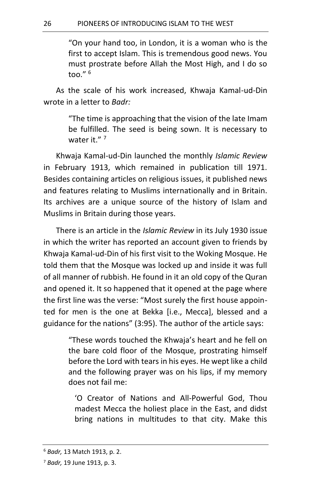"On your hand too, in London, it is a woman who is the first to accept Islam. This is tremendous good news. You must prostrate before Allah the Most High, and I do so too." $6$ 

As the scale of his work increased, Khwaja Kamal-ud-Din wrote in a letter to *Badr:*

> "The time is approaching that the vision of the late Imam be fulfilled. The seed is being sown. It is necessary to water it. $" '$

Khwaja Kamal-ud-Din launched the monthly *Islamic Review* in February 1913, which remained in publication till 1971. Besides containing articles on religious issues, it published news and features relating to Muslims internationally and in Britain. Its archives are a unique source of the history of Islam and Muslims in Britain during those years.

There is an article in the *Islamic Review* in its July 1930 issue in which the writer has reported an account given to friends by Khwaja Kamal-ud-Din of his first visit to the Woking Mosque. He told them that the Mosque was locked up and inside it was full of all manner of rubbish. He found in it an old copy of the Quran and opened it. It so happened that it opened at the page where the first line was the verse: "Most surely the first house appointed for men is the one at Bekka [i.e., Mecca], blessed and a guidance for the nations" (3:95). The author of the article says:

> "These words touched the Khwaja's heart and he fell on the bare cold floor of the Mosque, prostrating himself before the Lord with tears in his eyes. He wept like a child and the following prayer was on his lips, if my memory does not fail me:

'O Creator of Nations and All-Powerful God, Thou madest Mecca the holiest place in the East, and didst bring nations in multitudes to that city. Make this

<sup>6</sup> *Badr,* 13 Match 1913, p. 2.

<sup>7</sup> *Badr,* 19 June 1913, p. 3.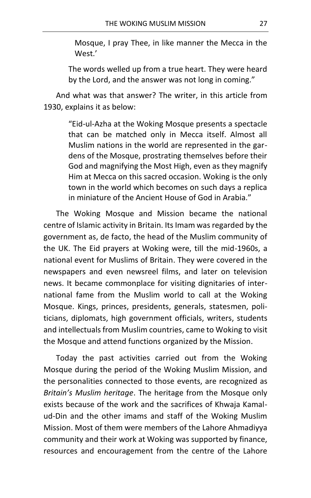Mosque, I pray Thee, in like manner the Mecca in the West.'

The words welled up from a true heart. They were heard by the Lord, and the answer was not long in coming."

And what was that answer? The writer, in this article from 1930, explains it as below:

> "Eid-ul-Azha at the Woking Mosque presents a spectacle that can be matched only in Mecca itself. Almost all Muslim nations in the world are represented in the gardens of the Mosque, prostrating themselves before their God and magnifying the Most High, even as they magnify Him at Mecca on this sacred occasion. Woking is the only town in the world which becomes on such days a replica in miniature of the Ancient House of God in Arabia."

The Woking Mosque and Mission became the national centre of Islamic activity in Britain. Its Imam was regarded by the government as, de facto, the head of the Muslim community of the UK. The Eid prayers at Woking were, till the mid-1960s, a national event for Muslims of Britain. They were covered in the newspapers and even newsreel films, and later on television news. It became commonplace for visiting dignitaries of international fame from the Muslim world to call at the Woking Mosque. Kings, princes, presidents, generals, statesmen, politicians, diplomats, high government officials, writers, students and intellectuals from Muslim countries, came to Woking to visit the Mosque and attend functions organized by the Mission.

Today the past activities carried out from the Woking Mosque during the period of the Woking Muslim Mission, and the personalities connected to those events, are recognized as *Britain's Muslim heritage*. The heritage from the Mosque only exists because of the work and the sacrifices of Khwaja Kamalud-Din and the other imams and staff of the Woking Muslim Mission. Most of them were members of the Lahore Ahmadiyya community and their work at Woking was supported by finance, resources and encouragement from the centre of the Lahore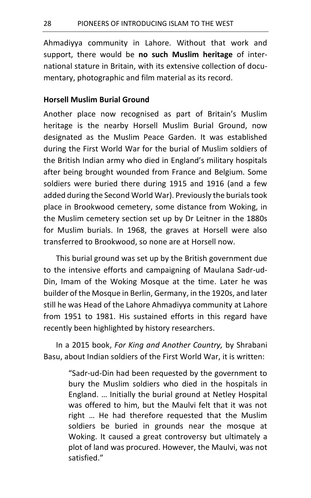Ahmadiyya community in Lahore. Without that work and support, there would be **no such Muslim heritage** of international stature in Britain, with its extensive collection of documentary, photographic and film material as its record.

#### **Horsell Muslim Burial Ground**

Another place now recognised as part of Britain's Muslim heritage is the nearby Horsell Muslim Burial Ground, now designated as the Muslim Peace Garden. It was established during the First World War for the burial of Muslim soldiers of the British Indian army who died in England's military hospitals after being brought wounded from France and Belgium. Some soldiers were buried there during 1915 and 1916 (and a few added during the Second World War). Previously the burials took place in Brookwood cemetery, some distance from Woking, in the Muslim cemetery section set up by Dr Leitner in the 1880s for Muslim burials. In 1968, the graves at Horsell were also transferred to Brookwood, so none are at Horsell now.

This burial ground was set up by the British government due to the intensive efforts and campaigning of Maulana Sadr-ud-Din, Imam of the Woking Mosque at the time. Later he was builder of the Mosque in Berlin, Germany, in the 1920s, and later still he was Head of the Lahore Ahmadiyya community at Lahore from 1951 to 1981. His sustained efforts in this regard have recently been highlighted by history researchers.

In a 2015 book, *For King and Another Country,* by Shrabani Basu, about Indian soldiers of the First World War, it is written:

> "Sadr-ud-Din had been requested by the government to bury the Muslim soldiers who died in the hospitals in England. … Initially the burial ground at Netley Hospital was offered to him, but the Maulvi felt that it was not right … He had therefore requested that the Muslim soldiers be buried in grounds near the mosque at Woking. It caused a great controversy but ultimately a plot of land was procured. However, the Maulvi, was not satisfied."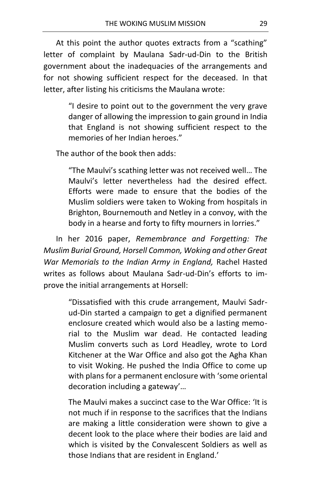At this point the author quotes extracts from a "scathing" letter of complaint by Maulana Sadr-ud-Din to the British government about the inadequacies of the arrangements and for not showing sufficient respect for the deceased. In that letter, after listing his criticisms the Maulana wrote:

> "I desire to point out to the government the very grave danger of allowing the impression to gain ground in India that England is not showing sufficient respect to the memories of her Indian heroes."

The author of the book then adds:

"The Maulvi's scathing letter was not received well… The Maulvi's letter nevertheless had the desired effect. Efforts were made to ensure that the bodies of the Muslim soldiers were taken to Woking from hospitals in Brighton, Bournemouth and Netley in a convoy, with the body in a hearse and forty to fifty mourners in lorries."

In her 2016 paper, *Remembrance and Forgetting: The Muslim Burial Ground, Horsell Common, Woking and other Great War Memorials to the Indian Army in England,* Rachel Hasted writes as follows about Maulana Sadr-ud-Din's efforts to improve the initial arrangements at Horsell:

> "Dissatisfied with this crude arrangement, Maulvi Sadrud-Din started a campaign to get a dignified permanent enclosure created which would also be a lasting memorial to the Muslim war dead. He contacted leading Muslim converts such as Lord Headley, wrote to Lord Kitchener at the War Office and also got the Agha Khan to visit Woking. He pushed the India Office to come up with plans for a permanent enclosure with 'some oriental decoration including a gateway'…

> The Maulvi makes a succinct case to the War Office: 'It is not much if in response to the sacrifices that the Indians are making a little consideration were shown to give a decent look to the place where their bodies are laid and which is visited by the Convalescent Soldiers as well as those Indians that are resident in England.'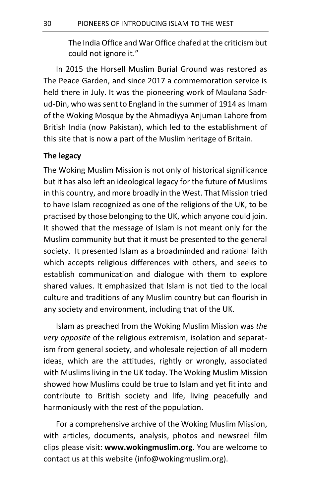The India Office and War Office chafed at the criticism but could not ignore it."

In 2015 the Horsell Muslim Burial Ground was restored as The Peace Garden, and since 2017 a commemoration service is held there in July. It was the pioneering work of Maulana Sadrud-Din, who was sent to England in the summer of 1914 as Imam of the Woking Mosque by the Ahmadiyya Anjuman Lahore from British India (now Pakistan), which led to the establishment of this site that is now a part of the Muslim heritage of Britain.

#### **The legacy**

The Woking Muslim Mission is not only of historical significance but it has also left an ideological legacy for the future of Muslims in this country, and more broadly in the West. That Mission tried to have Islam recognized as one of the religions of the UK, to be practised by those belonging to the UK, which anyone could join. It showed that the message of Islam is not meant only for the Muslim community but that it must be presented to the general society. It presented Islam as a broadminded and rational faith which accepts religious differences with others, and seeks to establish communication and dialogue with them to explore shared values. It emphasized that Islam is not tied to the local culture and traditions of any Muslim country but can flourish in any society and environment, including that of the UK.

Islam as preached from the Woking Muslim Mission was *the very opposite* of the religious extremism, isolation and separatism from general society, and wholesale rejection of all modern ideas, which are the attitudes, rightly or wrongly, associated with Muslims living in the UK today. The Woking Muslim Mission showed how Muslims could be true to Islam and yet fit into and contribute to British society and life, living peacefully and harmoniously with the rest of the population.

For a comprehensive archive of the Woking Muslim Mission, with articles, documents, analysis, photos and newsreel film clips please visit: **www.wokingmuslim.org**. You are welcome to contact us at this website (info@wokingmuslim.org).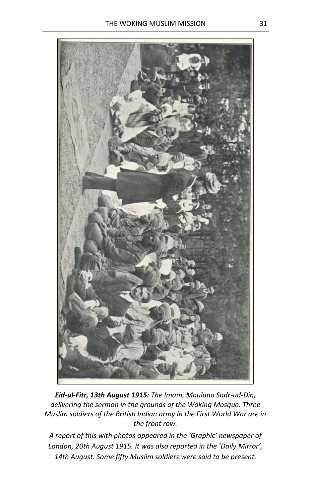

*Eid-ul-Fitr, 13th August 1915: The Imam, Maulana Sadr-ud-Din, delivering the sermon in the grounds of the Woking Mosque. Three Muslim soldiers of the British Indian army in the First World War are in the front row.*

*A report of this with photos appeared in the 'Graphic' newspaper of London, 20th August 1915. It was also reported in the 'Daily Mirror', 14th August. Some fifty Muslim soldiers were said to be present.*